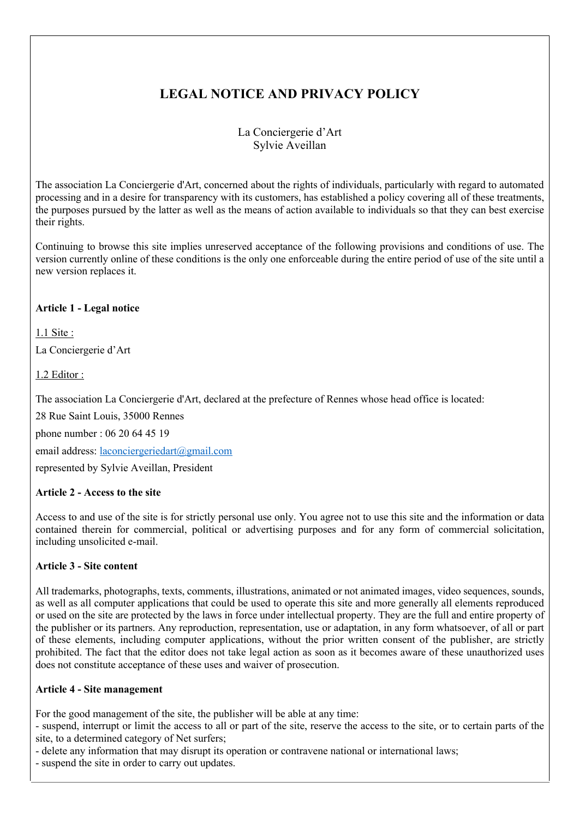# **LEGAL NOTICE AND PRIVACY POLICY**

# La Conciergerie d'Art Sylvie Aveillan

The association La Conciergerie d'Art, concerned about the rights of individuals, particularly with regard to automated processing and in a desire for transparency with its customers, has established a policy covering all of these treatments, the purposes pursued by the latter as well as the means of action available to individuals so that they can best exercise their rights.

Continuing to browse this site implies unreserved acceptance of the following provisions and conditions of use. The version currently online of these conditions is the only one enforceable during the entire period of use of the site until a new version replaces it.

# **Article 1 - Legal notice**

1.1 Site :

La Conciergerie d'Art

1.2 Editor :

The association La Conciergerie d'Art, declared at the prefecture of Rennes whose head office is located:

28 Rue Saint Louis, 35000 Rennes

phone number : 06 20 64 45 19

email address: laconciergeriedart@gmail.com

represented by Sylvie Aveillan, President

# **Article 2 - Access to the site**

Access to and use of the site is for strictly personal use only. You agree not to use this site and the information or data contained therein for commercial, political or advertising purposes and for any form of commercial solicitation, including unsolicited e-mail.

# **Article 3 - Site content**

All trademarks, photographs, texts, comments, illustrations, animated or not animated images, video sequences, sounds, as well as all computer applications that could be used to operate this site and more generally all elements reproduced or used on the site are protected by the laws in force under intellectual property. They are the full and entire property of the publisher or its partners. Any reproduction, representation, use or adaptation, in any form whatsoever, of all or part of these elements, including computer applications, without the prior written consent of the publisher, are strictly prohibited. The fact that the editor does not take legal action as soon as it becomes aware of these unauthorized uses does not constitute acceptance of these uses and waiver of prosecution.

# **Article 4 - Site management**

For the good management of the site, the publisher will be able at any time:

- suspend, interrupt or limit the access to all or part of the site, reserve the access to the site, or to certain parts of the site, to a determined category of Net surfers;

- delete any information that may disrupt its operation or contravene national or international laws;

- suspend the site in order to carry out updates.